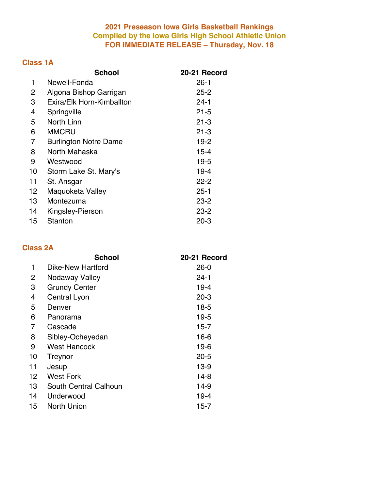### **Preseason Iowa Girls Basketball Rankings Compiled by the Iowa Girls High School Athletic Union FOR IMMEDIATE RELEASE – Thursday, Nov. 18**

# **Class 1A**

|    | <b>School</b>                | 20-21 Record |
|----|------------------------------|--------------|
| 1  | Newell-Fonda                 | $26-1$       |
| 2  | Algona Bishop Garrigan       | $25 - 2$     |
| 3  | Exira/Elk Horn-Kimballton    | $24 - 1$     |
| 4  | Springville                  | $21 - 5$     |
| 5  | North Linn                   | $21 - 3$     |
| 6  | <b>MMCRU</b>                 | $21 - 3$     |
| 7  | <b>Burlington Notre Dame</b> | $19 - 2$     |
| 8  | North Mahaska                | $15 - 4$     |
| 9  | Westwood                     | $19 - 5$     |
| 10 | Storm Lake St. Mary's        | $19 - 4$     |
| 11 | St. Ansgar                   | $22 - 2$     |
| 12 | Maquoketa Valley             | $25 - 1$     |
| 13 | Montezuma                    | $23 - 2$     |
| 14 | Kingsley-Pierson             | $23 - 2$     |
| 15 | Stanton                      | $20 - 3$     |

# **Class 2A**

|    | <b>School</b>            | 20-21 Record |
|----|--------------------------|--------------|
| 1  | <b>Dike-New Hartford</b> | $26-0$       |
| 2  | Nodaway Valley           | 24-1         |
| 3  | <b>Grundy Center</b>     | $19 - 4$     |
| 4  | Central Lyon             | $20 - 3$     |
| 5  | Denver                   | $18-5$       |
| 6  | Panorama                 | $19 - 5$     |
| 7  | Cascade                  | $15 - 7$     |
| 8  | Sibley-Ocheyedan         | $16 - 6$     |
| 9  | <b>West Hancock</b>      | $19-6$       |
| 10 | Treynor                  | $20 - 5$     |
| 11 | Jesup                    | $13-9$       |
| 12 | <b>West Fork</b>         | $14-8$       |
| 13 | South Central Calhoun    | 14-9         |
| 14 | Underwood                | $19 - 4$     |
| 15 | North Union              | 15-7         |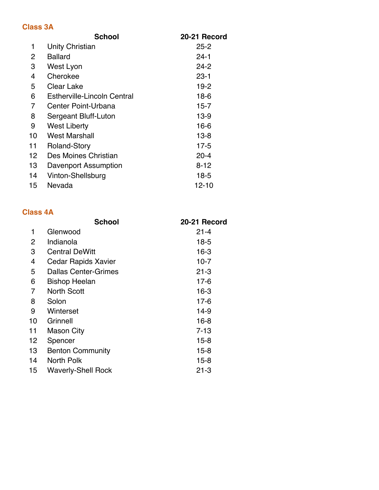#### **Class 3A**

| <b>School</b>                      | 20-21 Record |
|------------------------------------|--------------|
| <b>Unity Christian</b>             | $25 - 2$     |
| <b>Ballard</b>                     | $24 - 1$     |
| West Lyon                          | $24 - 2$     |
| Cherokee                           | $23 - 1$     |
| <b>Clear Lake</b>                  | $19-2$       |
| <b>Estherville-Lincoln Central</b> | 18-6         |
| Center Point-Urbana                | 15-7         |
| <b>Sergeant Bluff-Luton</b>        | $13-9$       |
| <b>West Liberty</b>                | $16 - 6$     |
| <b>West Marshall</b>               | $13 - 8$     |
| <b>Roland-Story</b>                | $17 - 5$     |
| Des Moines Christian               | $20 - 4$     |
| <b>Davenport Assumption</b>        | $8 - 12$     |
| Vinton-Shellsburg                  | $18-5$       |
| Nevada                             | $12 - 10$    |
|                                    |              |

# **Class 4A**

|    | <b>School</b>               | 20-21 Record |
|----|-----------------------------|--------------|
| 1  | Glenwood                    | $21 - 4$     |
| 2  | Indianola                   | $18-5$       |
| 3  | <b>Central DeWitt</b>       | $16 - 3$     |
| 4  | <b>Cedar Rapids Xavier</b>  | $10-7$       |
| 5  | <b>Dallas Center-Grimes</b> | $21 - 3$     |
| 6  | <b>Bishop Heelan</b>        | $17-6$       |
| 7  | <b>North Scott</b>          | $16 - 3$     |
| 8  | Solon                       | $17-6$       |
| 9  | Winterset                   | 14-9         |
| 10 | Grinnell                    | $16 - 8$     |
| 11 | <b>Mason City</b>           | $7 - 13$     |
| 12 | Spencer                     | 15-8         |
| 13 | <b>Benton Community</b>     | $15 - 8$     |
| 14 | North Polk                  | $15-8$       |
| 15 | <b>Waverly-Shell Rock</b>   | $21 - 3$     |